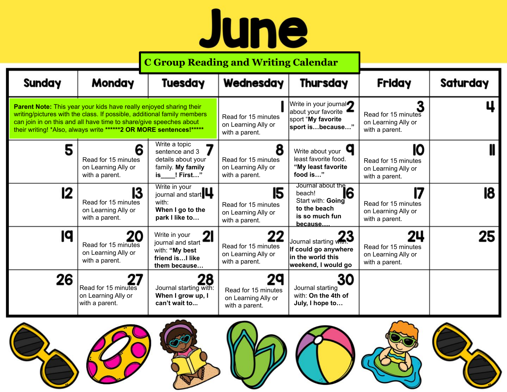## June

|                                                                                                                                                                                                                                                                                            |                                                                    | <b>C Group Reading and Writing Calendar</b>                                                   |                                                                    |                                                                                                        |                                                                    |          |
|--------------------------------------------------------------------------------------------------------------------------------------------------------------------------------------------------------------------------------------------------------------------------------------------|--------------------------------------------------------------------|-----------------------------------------------------------------------------------------------|--------------------------------------------------------------------|--------------------------------------------------------------------------------------------------------|--------------------------------------------------------------------|----------|
| <b>Sunday</b>                                                                                                                                                                                                                                                                              | <b>Monday</b>                                                      | <b>Tuesday</b>                                                                                | Wednesday                                                          | <b>Thursday</b>                                                                                        | Friday                                                             | Saturday |
| Parent Note: This year your kids have really enjoyed sharing their<br>writing/pictures with the class. If possible, additional family members<br>can join in on this and all have time to share/give speeches about<br>their writing! *Also, always write ****** 2 OR MORE sentences!***** |                                                                    |                                                                                               | Read for 15 minutes<br>on Learning Ally or<br>with a parent.       | Write in your journal $\bullet$<br>about your favorite<br>sport "My favorite<br>sport isbecause"       | Read for 15 minutes<br>on Learning Ally or<br>with a parent.       |          |
| 5                                                                                                                                                                                                                                                                                          | 6<br>Read for 15 minutes<br>on Learning Ally or<br>with a parent.  | Write a topic<br>sentence and 3<br>details about your<br>family. My family<br>is ! First"     | Read for 15 minutes<br>on Learning Ally or<br>with a parent.       | q<br>Write about your<br>least favorite food.<br>"My least favorite<br>food is"                        | IO<br>Read for 15 minutes<br>on Learning Ally or<br>with a parent. |          |
| 12                                                                                                                                                                                                                                                                                         | 13<br>Read for 15 minutes<br>on Learning Ally or<br>with a parent. | Write in your<br>journal and start<br>with:<br>When I go to the<br>park I like to             | 15<br>Read for 15 minutes<br>on Learning Ally or<br>with a parent. | $\frac{1}{\text{Journal about the}}$<br>Start with: Going<br>to the beach<br>is so much fun<br>because | 17<br>Read for 15 minutes<br>on Learning Ally or<br>with a parent. | 18       |
| 19                                                                                                                                                                                                                                                                                         | ZO<br>Read for 15 minutes<br>on Learning Ally or<br>with a parent. | 21<br>Write in your<br>journal and start<br>with: "My best<br>friend isI like<br>them because | 22<br>Read for 15 minutes<br>on Learning Ally or<br>with a parent. | Journal starting 23<br>If could go anywhere<br>in the world this<br>weekend, I would go                | 24<br>Read for 15 minutes<br>on Learning Ally or<br>with a parent. | 25       |
| 26                                                                                                                                                                                                                                                                                         | Read for 15 minutes<br>on Learning Ally or<br>with a parent.       | 28<br>Journal starting with:<br>When I grow up, I<br>can't wait to                            | 29<br>Read for 15 minutes<br>on Learning Ally or<br>with a parent. | 30<br>Journal starting<br>with: On the 4th of<br>July, I hope to                                       |                                                                    |          |